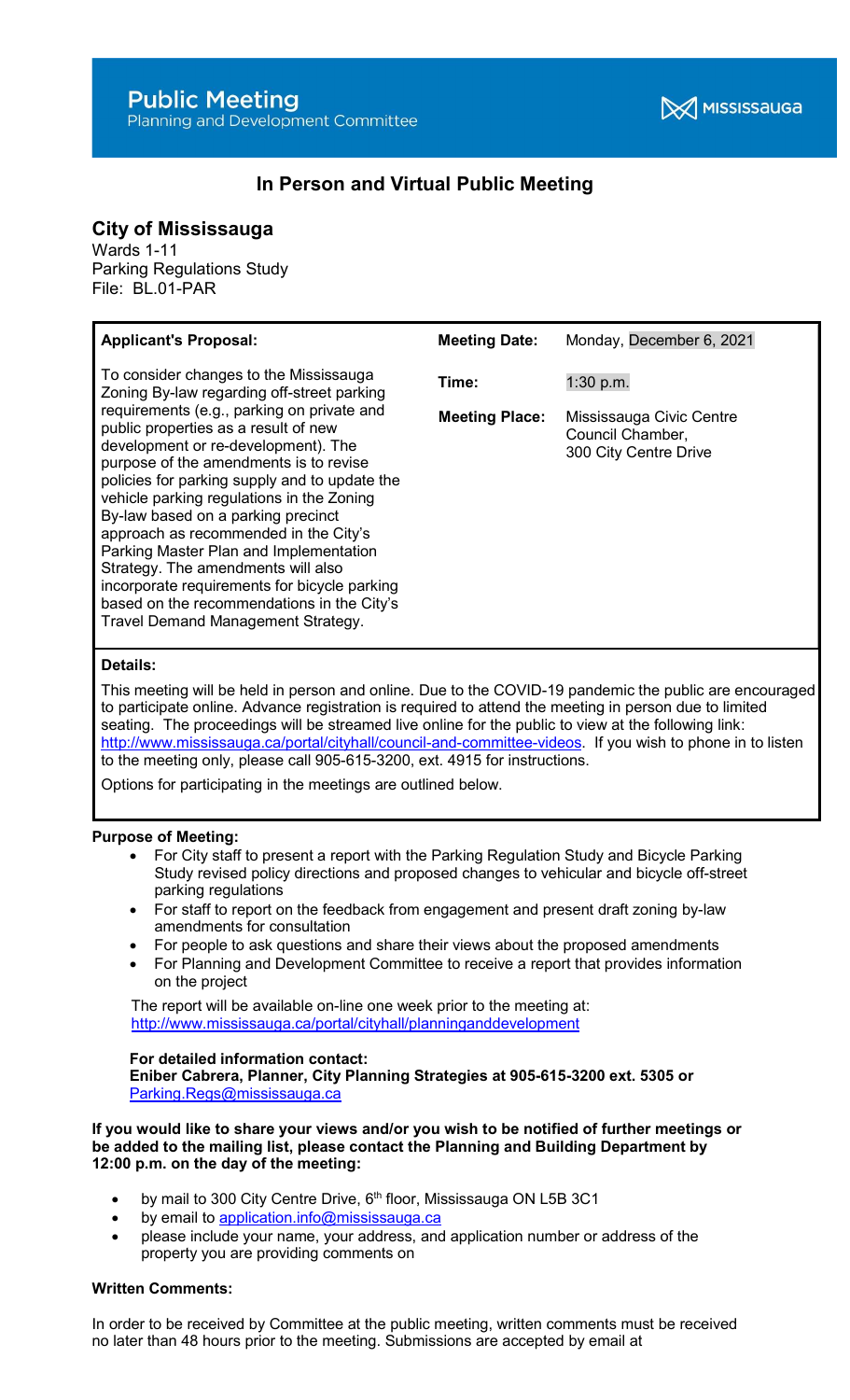# **Public Meeting**

# In Person and Virtual Public Meeting

# City of Mississauga

Wards 1-11 Parking Regulations Study File: BL.01-PAR

| <b>Applicant's Proposal:</b>                                                                                                                                                                                                                                                                                                                                                                                                                                                                                                                                                                                                                                 | <b>Meeting Date:</b>           | Monday, December 6, 2021                                                             |
|--------------------------------------------------------------------------------------------------------------------------------------------------------------------------------------------------------------------------------------------------------------------------------------------------------------------------------------------------------------------------------------------------------------------------------------------------------------------------------------------------------------------------------------------------------------------------------------------------------------------------------------------------------------|--------------------------------|--------------------------------------------------------------------------------------|
| To consider changes to the Mississauga<br>Zoning By-law regarding off-street parking<br>requirements (e.g., parking on private and<br>public properties as a result of new<br>development or re-development). The<br>purpose of the amendments is to revise<br>policies for parking supply and to update the<br>vehicle parking regulations in the Zoning<br>By-law based on a parking precinct<br>approach as recommended in the City's<br>Parking Master Plan and Implementation<br>Strategy. The amendments will also<br>incorporate requirements for bicycle parking<br>based on the recommendations in the City's<br>Travel Demand Management Strategy. | Time:<br><b>Meeting Place:</b> | $1:30$ p.m.<br>Mississauga Civic Centre<br>Council Chamber,<br>300 City Centre Drive |

# Details:

This meeting will be held in person and online. Due to the COVID-19 pandemic the public are encouraged to participate online. Advance registration is required to attend the meeting in person due to limited seating. The proceedings will be streamed live online for the public to view at the following link: http://www.mississauga.ca/portal/cityhall/council-and-committee-videos. If you wish to phone in to listen to the meeting only, please call 905-615-3200, ext. 4915 for instructions.

Options for participating in the meetings are outlined below.

#### Purpose of Meeting:

- For City staff to present a report with the Parking Regulation Study and Bicycle Parking Study revised policy directions and proposed changes to vehicular and bicycle off-street parking regulations
- For staff to report on the feedback from engagement and present draft zoning by-law amendments for consultation
- For people to ask questions and share their views about the proposed amendments
- For Planning and Development Committee to receive a report that provides information on the project

 The report will be available on-line one week prior to the meeting at: http://www.mississauga.ca/portal/cityhall/planninganddevelopment

#### For detailed information contact:

Eniber Cabrera, Planner, City Planning Strategies at 905-615-3200 ext. 5305 or Parking.Regs@mississauga.ca

If you would like to share your views and/or you wish to be notified of further meetings or be added to the mailing list, please contact the Planning and Building Department by 12:00 p.m. on the day of the meeting:

- by mail to 300 City Centre Drive, 6<sup>th</sup> floor, Mississauga ON L5B 3C1
- by email to application.info@mississauga.ca
- please include your name, your address, and application number or address of the property you are providing comments on

#### Written Comments:

In order to be received by Committee at the public meeting, written comments must be received no later than 48 hours prior to the meeting. Submissions are accepted by email at